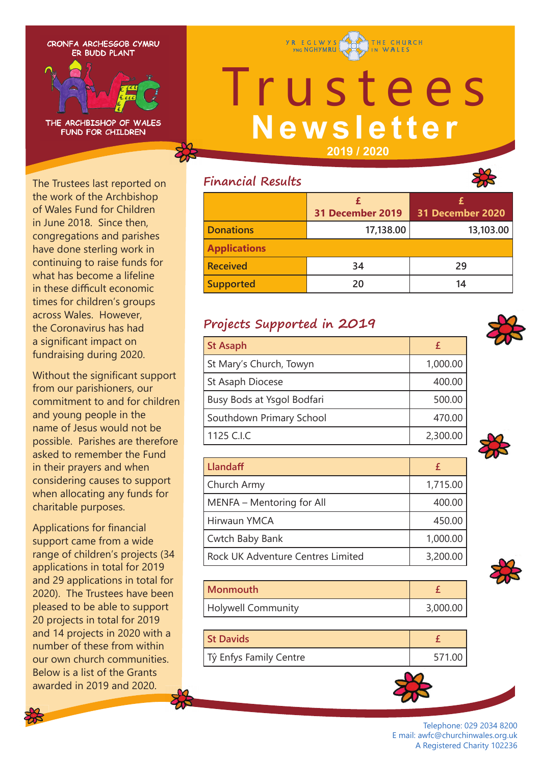CRONFA ARCHESGOB CYMRU ER BUDD PLANT



THE ARCHBISHOP OF WALES **FUND FOR CHILDREN** 

The Trustees last reported on the work of the Archbishop of Wales Fund for Children in June 2018. Since then, congregations and parishes have done sterling work in continuing to raise funds for what has become a lifeline in these difficult economic times for children's groups across Wales. However, the Coronavirus has had a significant impact on fundraising during 2020.

Without the significant support from our parishioners, our commitment to and for children and young people in the name of Jesus would not be possible. Parishes are therefore asked to remember the Fund in their prayers and when considering causes to support when allocating any funds for charitable purposes.

Applications for financial support came from a wide range of children's projects (34 applications in total for 2019 and 29 applications in total for 2020). The Trustees have been pleased to be able to support 20 projects in total for 2019 and 14 projects in 2020 with a number of these from within our own church communities. Below is a list of the Grants awarded in 2019 and 2020.

# **Y R E G L W Y S** THE CHURCH Irustees

**Newsletter**

**2019 / 2020**

### **Financial Results**



## **Projects Supported in 2019**

| <b>St Asaph</b>            | £        |
|----------------------------|----------|
| St Mary's Church, Towyn    | 1,000.00 |
| St Asaph Diocese           | 400.00   |
| Busy Bods at Ysgol Bodfari | 500.00   |
| Southdown Primary School   | 470.00   |
| 1125 C.I.C                 | 2,300.00 |
|                            |          |

**Llandaff**  $\uparrow$  **Example 2**  $\uparrow$  **Example 2**  $\uparrow$  **Example 2**  $\uparrow$  **Example 2**  $\uparrow$  **Example 2**  $\uparrow$  **Example 2**  $\uparrow$  **Example 2**  $\uparrow$  **Example 2**  $\uparrow$  **Example 2**  $\uparrow$  **Example 2**  $\uparrow$  **Example 2**  $\uparrow$  **Examp** Church Army 1,715.00 MENFA – Mentoring for All  $\vert$  400.00 Hirwaun YMCA 450.00 Cwtch Baby Bank 1,000.00 Rock UK Adventure Centres Limited 1 3,200.00

| Monmouth           |          |
|--------------------|----------|
| Holywell Community | 3,000.00 |

| <b>St Davids</b>       |  |
|------------------------|--|
| Tŷ Enfys Family Centre |  |



Telephone: 029 2034 8200 E mail: awfc@churchinwales.org.uk A Registered Charity 102236